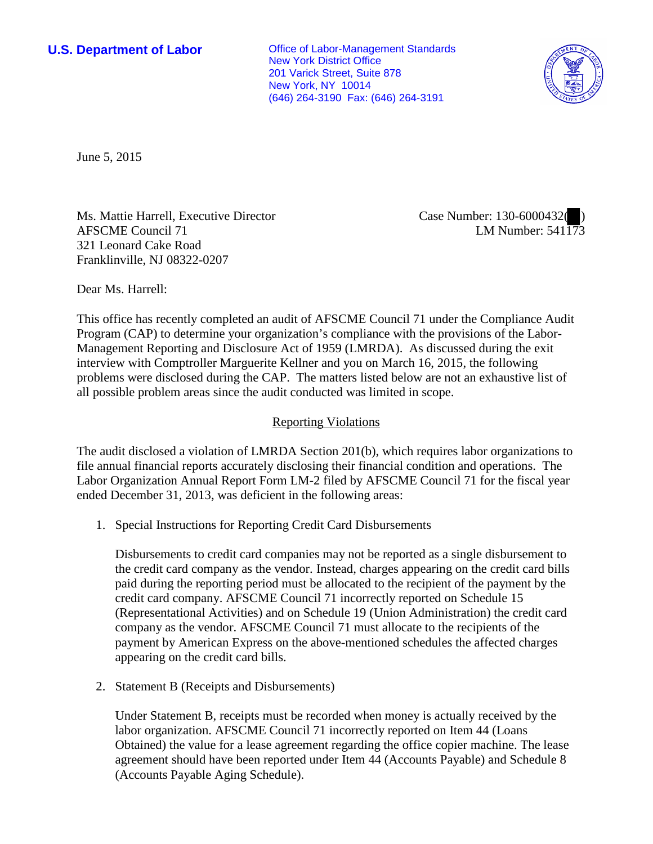**U.S. Department of Labor Conservative Conservative Conservative Conservative Conservative Conservative Conservative Conservative Conservative Conservative Conservative Conservative Conservative Conservative Conservative** New York District Office 201 Varick Street, Suite 878 New York, NY 10014 (646) 264-3190 Fax: (646) 264-3191



June 5, 2015

Ms. Mattie Harrell, Executive Director AFSCME Council 71 321 Leonard Cake Road Franklinville, NJ 08322-0207

Case Number: 130-6000432( ) LM Number: 541173

Dear Ms. Harrell:

This office has recently completed an audit of AFSCME Council 71 under the Compliance Audit Program (CAP) to determine your organization's compliance with the provisions of the Labor-Management Reporting and Disclosure Act of 1959 (LMRDA). As discussed during the exit interview with Comptroller Marguerite Kellner and you on March 16, 2015, the following problems were disclosed during the CAP. The matters listed below are not an exhaustive list of all possible problem areas since the audit conducted was limited in scope.

## Reporting Violations

The audit disclosed a violation of LMRDA Section 201(b), which requires labor organizations to file annual financial reports accurately disclosing their financial condition and operations. The Labor Organization Annual Report Form LM-2 filed by AFSCME Council 71 for the fiscal year ended December 31, 2013, was deficient in the following areas:

1. Special Instructions for Reporting Credit Card Disbursements

Disbursements to credit card companies may not be reported as a single disbursement to the credit card company as the vendor. Instead, charges appearing on the credit card bills paid during the reporting period must be allocated to the recipient of the payment by the credit card company. AFSCME Council 71 incorrectly reported on Schedule 15 (Representational Activities) and on Schedule 19 (Union Administration) the credit card company as the vendor. AFSCME Council 71 must allocate to the recipients of the payment by American Express on the above-mentioned schedules the affected charges appearing on the credit card bills.

2. Statement B (Receipts and Disbursements)

Under Statement B, receipts must be recorded when money is actually received by the labor organization. AFSCME Council 71 incorrectly reported on Item 44 (Loans Obtained) the value for a lease agreement regarding the office copier machine. The lease agreement should have been reported under Item 44 (Accounts Payable) and Schedule 8 (Accounts Payable Aging Schedule).